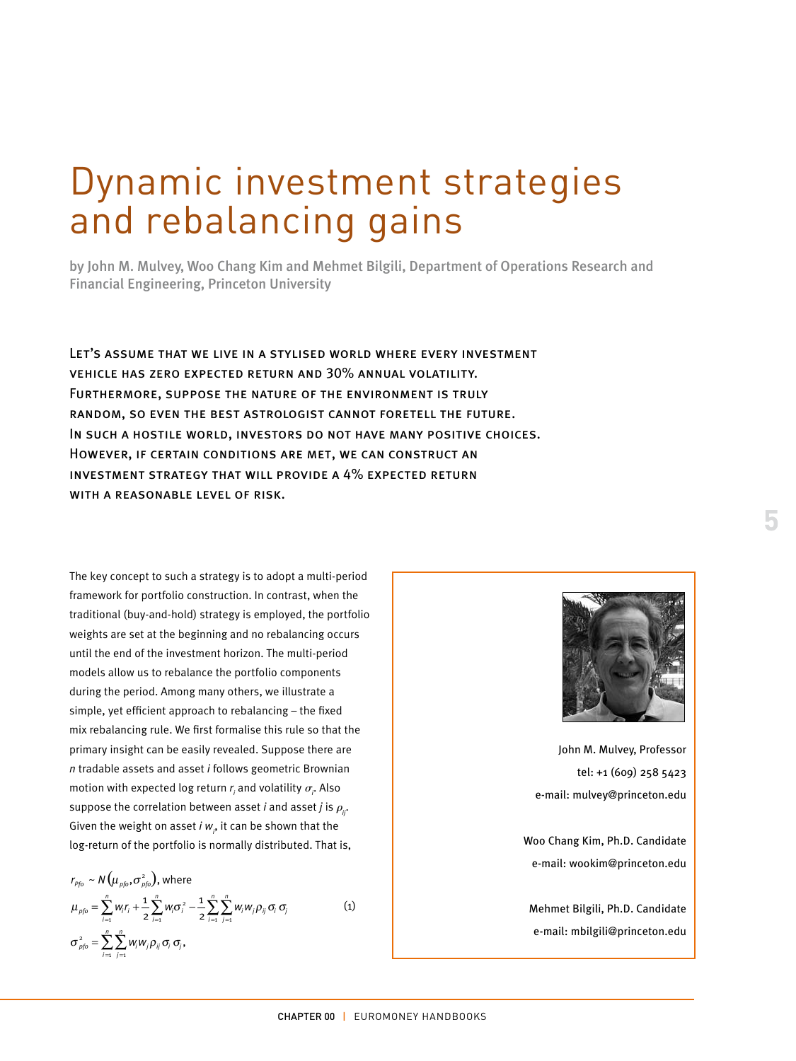## Dynamic investment strategies and rebalancing gains

by John M. Mulvey, Woo Chang Kim and Mehmet Bilgili, Department of Operations Research and Financial Engineering, Princeton University

Let's assume that we live in a stylised world where every investment vehicle has zero expected return and 30% annual volatility. Furthermore, suppose the nature of the environment is truly random, so even the best astrologist cannot foretell the future. In such a hostile world, investors do not have many positive choices. However, if certain conditions are met, we can construct an investment strategy that will provide a 4% expected return WITH A REASONABLE LEVEL OF RISK.

The key concept to such a strategy is to adopt a multi-period framework for portfolio construction. In contrast, when the traditional (buy-and-hold) strategy is employed, the portfolio weights are set at the beginning and no rebalancing occurs until the end of the investment horizon. The multi-period models allow us to rebalance the portfolio components during the period. Among many others, we illustrate a simple, yet efficient approach to rebalancing – the fixed mix rebalancing rule. We first formalise this rule so that the primary insight can be easily revealed. Suppose there are *n* tradable assets and asset *i* follows geometric Brownian motion with expected log return  $r_{\scriptscriptstyle\!f}$  and volatility  $\sigma_{\scriptscriptstyle\!f}$  . Also suppose the correlation between asset *i* and asset *j* is  $\rho_{ir}$ . Given the weight on asset  $i$   $w_{_{\!P}}$  it can be shown that the log-return of the portfolio is normally distributed. That is,

$$
r_{\rho f_0} \sim N(\mu_{\rho f_0}, \sigma_{\rho f_0}^2), \text{ where}
$$
  
\n
$$
\mu_{\rho f_0} = \sum_{i=1}^n w_i r_i + \frac{1}{2} \sum_{i=1}^n w_i \sigma_i^2 - \frac{1}{2} \sum_{i=1}^n \sum_{j=1}^n w_i w_j \rho_{ij} \sigma_i \sigma_j
$$
  
\n
$$
\sigma_{\rho f_0}^2 = \sum_{i=1}^n \sum_{j=1}^n w_i w_j \rho_{ij} \sigma_i \sigma_j,
$$
\n(1)



John M. Mulvey, Professor tel: +1 (609) 258 5423 e-mail: mulvey@princeton.edu

Woo Chang Kim, Ph.D. Candidate e-mail: wookim@princeton.edu

Mehmet Bilgili, Ph.D. Candidate e-mail: mbilgili@princeton.edu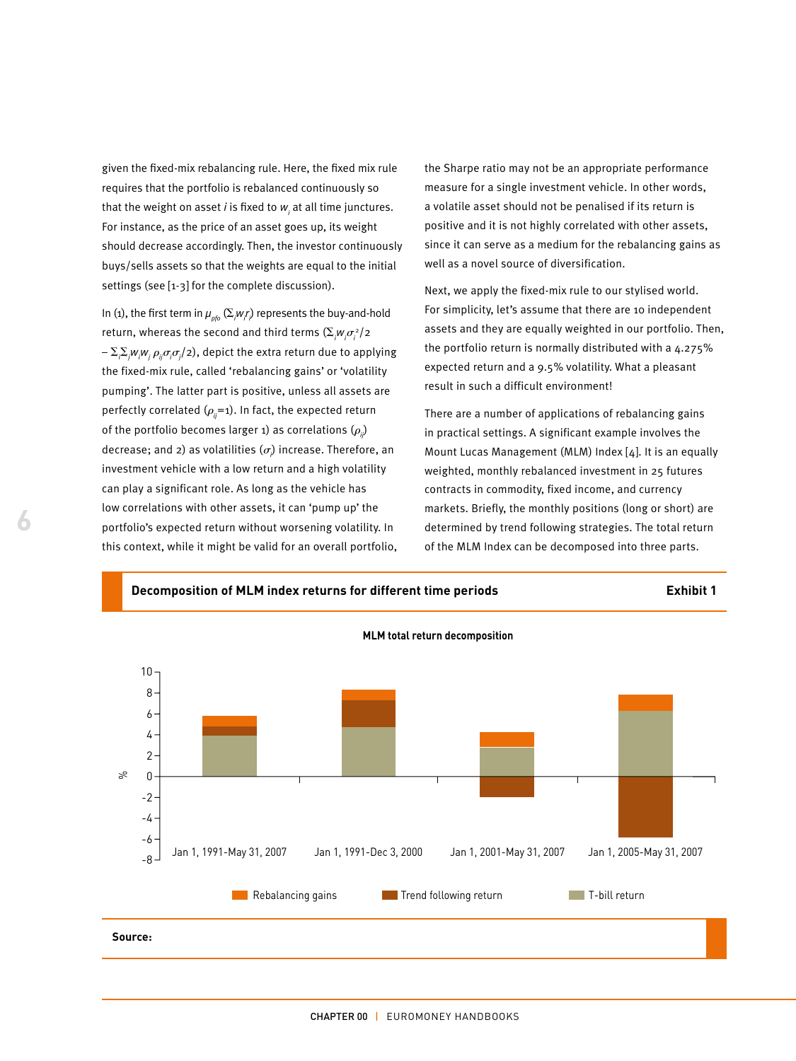given the fixed-mix rebalancing rule. Here, the fixed mix rule requires that the portfolio is rebalanced continuously so that the weight on asset *i* is fixed to  $w_{_j}$  at all time junctures. For instance, as the price of an asset goes up, its weight should decrease accordingly. Then, the investor continuously buys/sells assets so that the weights are equal to the initial settings (see [1-3] for the complete discussion).

In (1), the first term in  $\mu_{_{\rho f\!,0}}\left(\Sigma_{;^{\prime}}\!\!\!\!\!\nu_{;^{\prime}}\right)$  represents the buy-and-hold return, whereas the second and third terms  $(\Sigma_{_f}\hspace{-0.1cm}\nu_{_f}\sigma_{_i}^2/2)$  $-\Sigma_i \Sigma_j w_i w_j \, \rho_{ij} \sigma_i \sigma_j/2$ ), depict the extra return due to applying the fixed-mix rule, called 'rebalancing gains' or 'volatility pumping'. The latter part is positive, unless all assets are perfectly correlated  $(\rho_{ii}=1)$ . In fact, the expected return of the portfolio becomes larger 1) as correlations  $(\rho_i)$ decrease; and 2) as volatilities  $(\sigma)$  increase. Therefore, an investment vehicle with a low return and a high volatility can play a significant role. As long as the vehicle has low correlations with other assets, it can 'pump up' the portfolio's expected return without worsening volatility. In this context, while it might be valid for an overall portfolio, the Sharpe ratio may not be an appropriate performance measure for a single investment vehicle. In other words, a volatile asset should not be penalised if its return is positive and it is not highly correlated with other assets, since it can serve as a medium for the rebalancing gains as well as a novel source of diversification.

Next, we apply the fixed-mix rule to our stylised world. For simplicity, let's assume that there are 10 independent assets and they are equally weighted in our portfolio. Then, the portfolio return is normally distributed with a 4.275% expected return and a 9.5% volatility. What a pleasant result in such a difficult environment!

There are a number of applications of rebalancing gains in practical settings. A significant example involves the Mount Lucas Management (MLM) Index [4]. It is an equally weighted, monthly rebalanced investment in 25 futures contracts in commodity, fixed income, and currency markets. Briefly, the monthly positions (long or short) are determined by trend following strategies. The total return of the MLM Index can be decomposed into three parts.